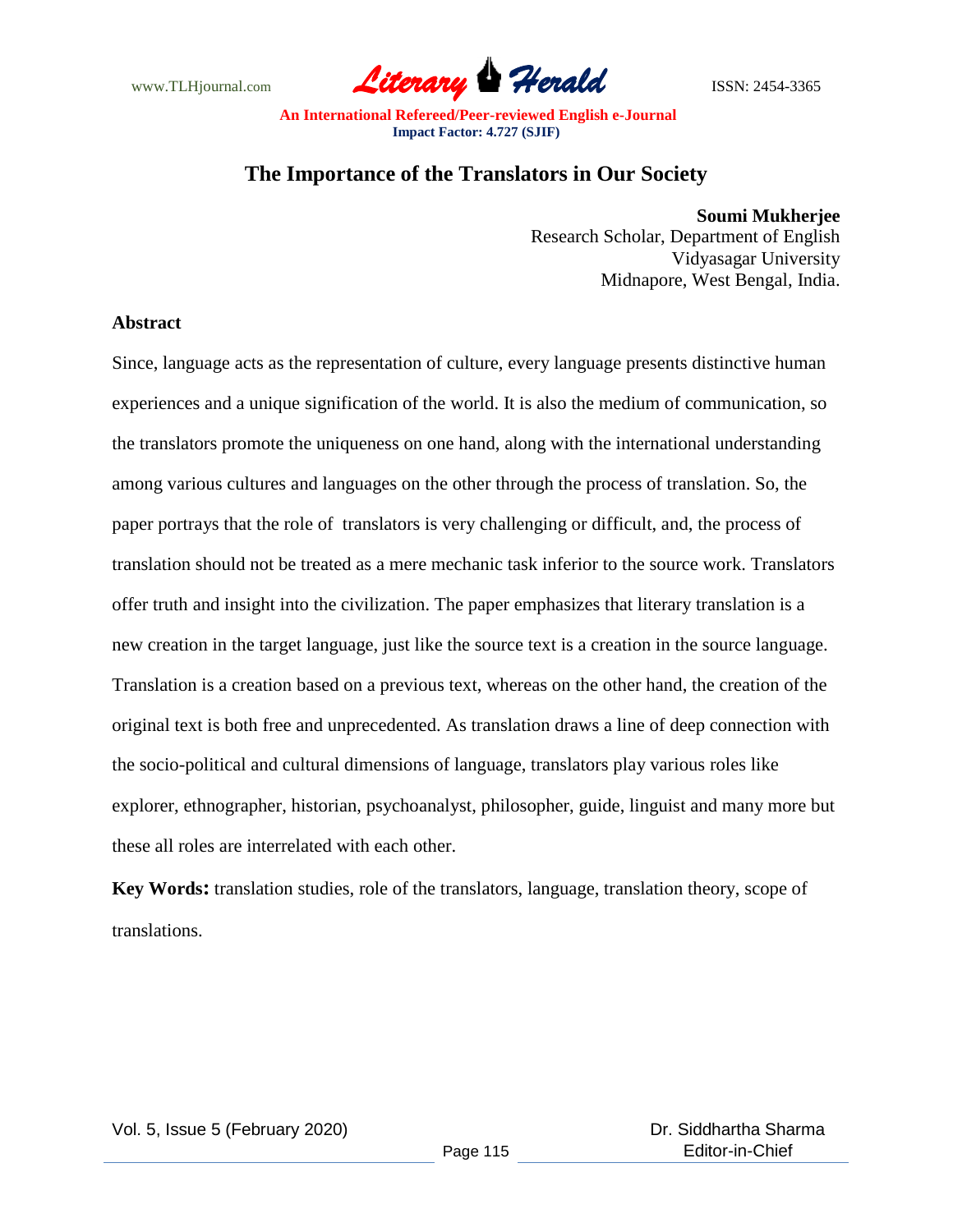

# **The Importance of the Translators in Our Society**

**Soumi Mukherjee** Research Scholar, Department of English Vidyasagar University Midnapore, West Bengal, India.

#### **Abstract**

Since, language acts as the representation of culture, every language presents distinctive human experiences and a unique signification of the world. It is also the medium of communication, so the translators promote the uniqueness on one hand, along with the international understanding among various cultures and languages on the other through the process of translation. So, the paper portrays that the role of translators is very challenging or difficult, and, the process of translation should not be treated as a mere mechanic task inferior to the source work. Translators offer truth and insight into the civilization. The paper emphasizes that literary translation is a new creation in the target language, just like the source text is a creation in the source language. Translation is a creation based on a previous text, whereas on the other hand, the creation of the original text is both free and unprecedented. As translation draws a line of deep connection with the socio-political and cultural dimensions of language, translators play various roles like explorer, ethnographer, historian, psychoanalyst, philosopher, guide, linguist and many more but these all roles are interrelated with each other.

**Key Words:** translation studies, role of the translators, language, translation theory, scope of translations.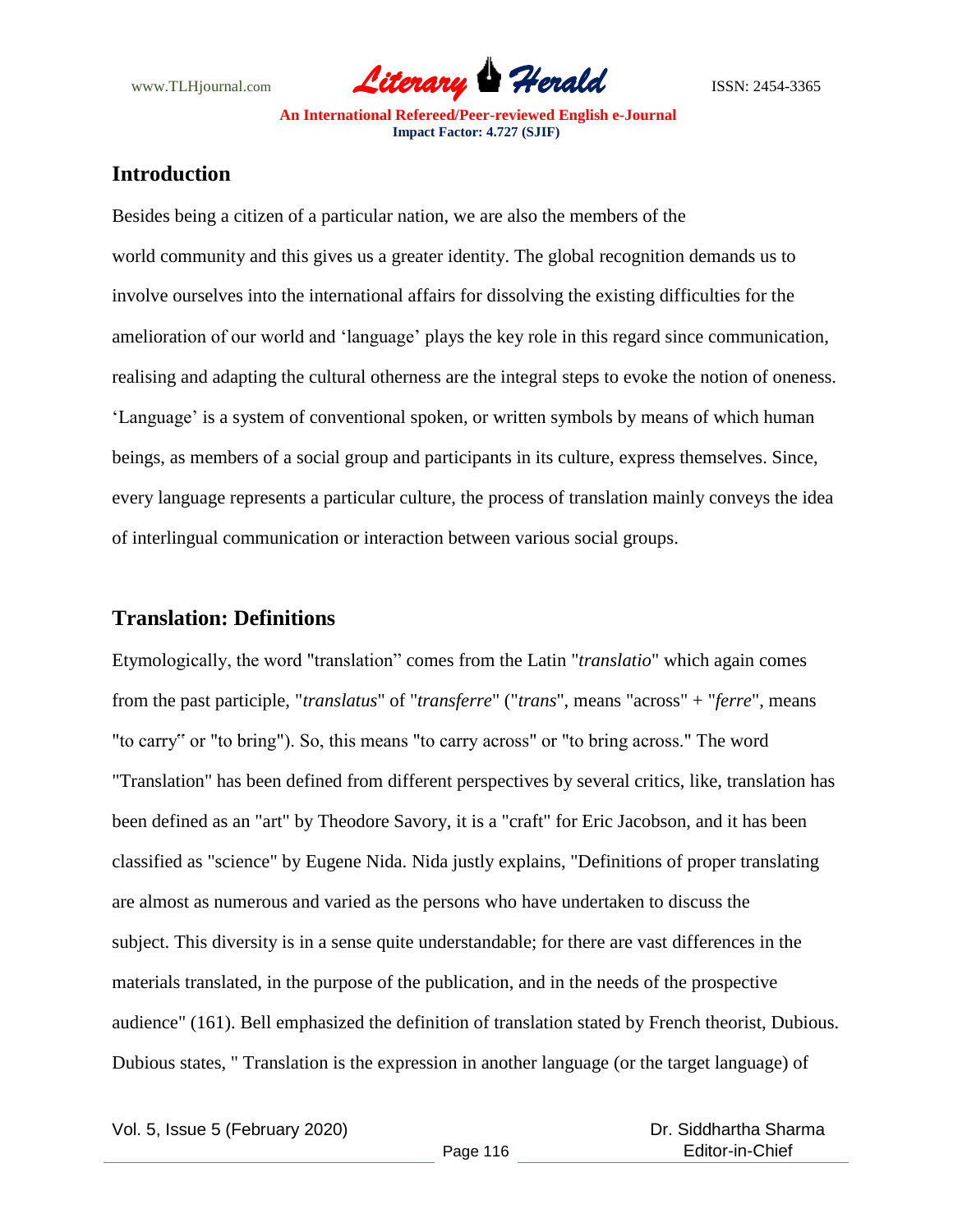

## **Introduction**

Besides being a citizen of a particular nation, we are also the members of the world community and this gives us a greater identity. The global recognition demands us to involve ourselves into the international affairs for dissolving the existing difficulties for the amelioration of our world and "language" plays the key role in this regard since communication, realising and adapting the cultural otherness are the integral steps to evoke the notion of oneness. 'Language' is a system of conventional spoken, or written symbols by means of which human beings, as members of a social group and participants in its culture, express themselves. Since, every language represents a particular culture, the process of translation mainly conveys the idea of interlingual communication or interaction between various social groups.

### **Translation: Definitions**

Etymologically, the word "translation" comes from the Latin "*translatio*" which again comes from the past participle, "*translatus*" of "*transferre*" ("*trans*", means "across" + "*ferre*", means "to carry" or "to bring"). So, this means "to carry across" or "to bring across." The word "Translation" has been defined from different perspectives by several critics, like, translation has been defined as an "art" by Theodore Savory, it is a "craft" for Eric Jacobson, and it has been classified as "science" by Eugene Nida. Nida justly explains, "Definitions of proper translating are almost as numerous and varied as the persons who have undertaken to discuss the subject. This diversity is in a sense quite understandable; for there are vast differences in the materials translated, in the purpose of the publication, and in the needs of the prospective audience" (161). Bell emphasized the definition of translation stated by French theorist, Dubious. Dubious states, " Translation is the expression in another language (or the target language) of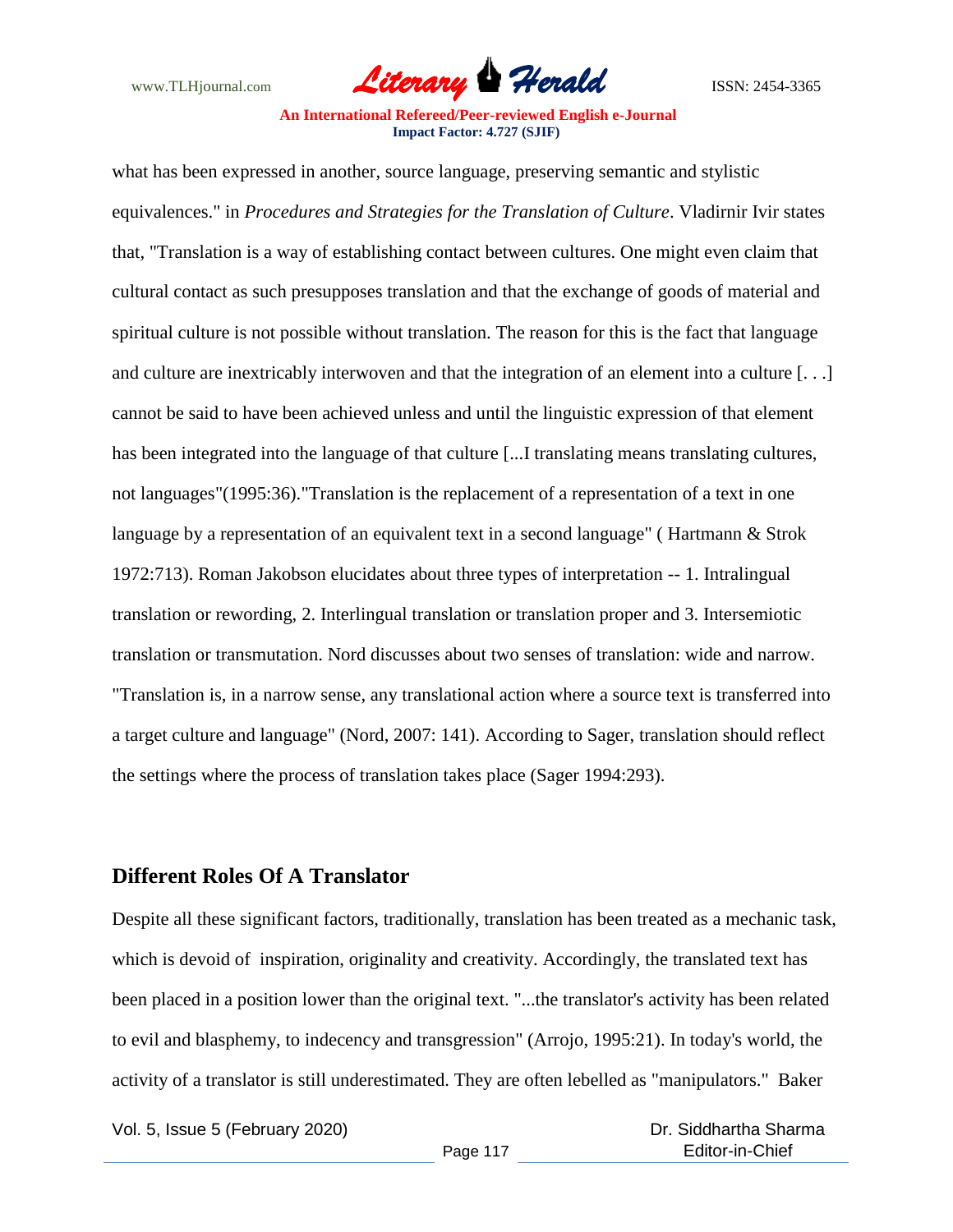

what has been expressed in another, source language, preserving semantic and stylistic equivalences." in *Procedures and Strategies for the Translation of Culture*. Vladirnir Ivir states that, "Translation is a way of establishing contact between cultures. One might even claim that cultural contact as such presupposes translation and that the exchange of goods of material and spiritual culture is not possible without translation. The reason for this is the fact that language and culture are inextricably interwoven and that the integration of an element into a culture [. . .] cannot be said to have been achieved unless and until the linguistic expression of that element has been integrated into the language of that culture [...I translating means translating cultures, not languages"(1995:36)."Translation is the replacement of a representation of a text in one language by a representation of an equivalent text in a second language" ( Hartmann & Strok 1972:713). Roman Jakobson elucidates about three types of interpretation -- 1. Intralingual translation or rewording, 2. Interlingual translation or translation proper and 3. Intersemiotic translation or transmutation. Nord discusses about two senses of translation: wide and narrow. "Translation is, in a narrow sense, any translational action where a source text is transferred into a target culture and language" (Nord, 2007: 141). According to Sager, translation should reflect the settings where the process of translation takes place (Sager 1994:293).

### **Different Roles Of A Translator**

Despite all these significant factors, traditionally, translation has been treated as a mechanic task, which is devoid of inspiration, originality and creativity. Accordingly, the translated text has been placed in a position lower than the original text. "...the translator's activity has been related to evil and blasphemy, to indecency and transgression" (Arrojo, 1995:21). In today's world, the activity of a translator is still underestimated. They are often lebelled as "manipulators." Baker

Vol. 5, Issue 5 (February 2020)

 Dr. Siddhartha Sharma Editor-in-Chief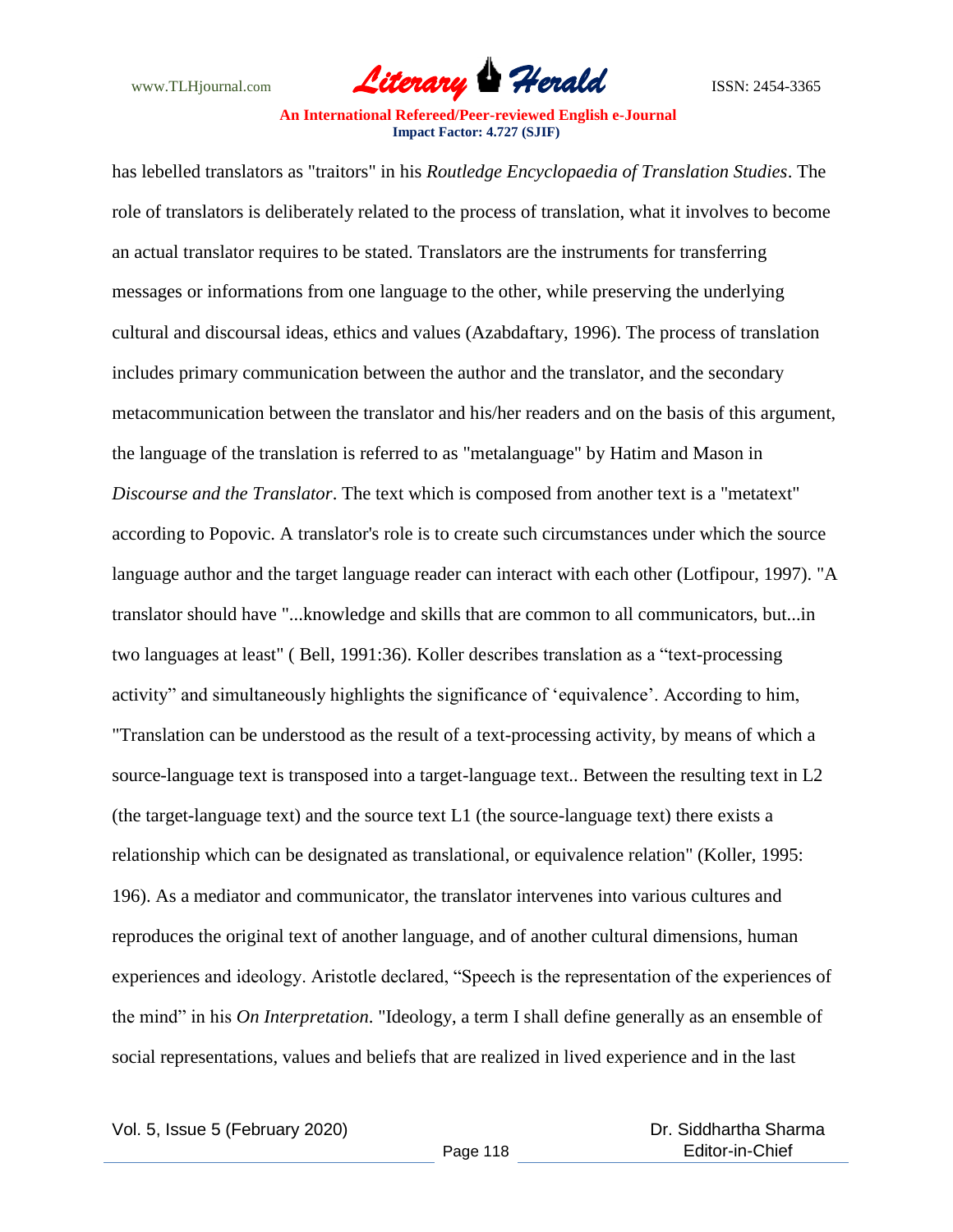

has lebelled translators as "traitors" in his *Routledge Encyclopaedia of Translation Studies*. The role of translators is deliberately related to the process of translation, what it involves to become an actual translator requires to be stated. Translators are the instruments for transferring messages or informations from one language to the other, while preserving the underlying cultural and discoursal ideas, ethics and values (Azabdaftary, 1996). The process of translation includes primary communication between the author and the translator, and the secondary metacommunication between the translator and his/her readers and on the basis of this argument, the language of the translation is referred to as "metalanguage" by Hatim and Mason in *Discourse and the Translator*. The text which is composed from another text is a "metatext" according to Popovic. A translator's role is to create such circumstances under which the source language author and the target language reader can interact with each other (Lotfipour, 1997). "A translator should have "...knowledge and skills that are common to all communicators, but...in two languages at least" ( Bell, 1991:36). Koller describes translation as a "text-processing activity" and simultaneously highlights the significance of "equivalence". According to him, "Translation can be understood as the result of a text-processing activity, by means of which a source-language text is transposed into a target-language text.. Between the resulting text in L2 (the target-language text) and the source text L1 (the source-language text) there exists a relationship which can be designated as translational, or equivalence relation" (Koller, 1995: 196). As a mediator and communicator, the translator intervenes into various cultures and reproduces the original text of another language, and of another cultural dimensions, human experiences and ideology. Aristotle declared, "Speech is the representation of the experiences of the mind" in his *On Interpretation*. "Ideology, a term I shall define generally as an ensemble of social representations, values and beliefs that are realized in lived experience and in the last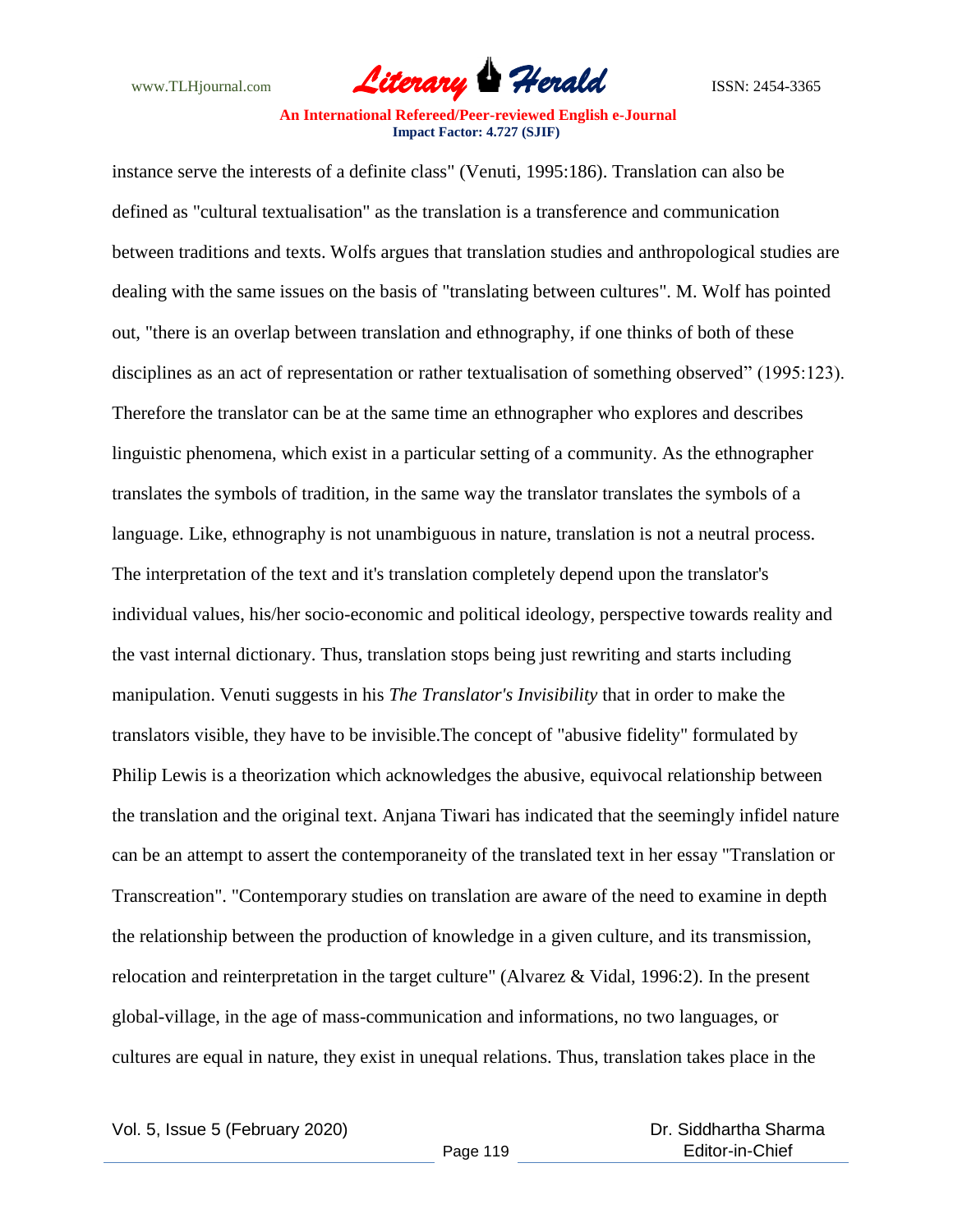

instance serve the interests of a definite class" (Venuti, 1995:186). Translation can also be defined as "cultural textualisation" as the translation is a transference and communication between traditions and texts. Wolfs argues that translation studies and anthropological studies are dealing with the same issues on the basis of "translating between cultures". M. Wolf has pointed out, "there is an overlap between translation and ethnography, if one thinks of both of these disciplines as an act of representation or rather textualisation of something observed" (1995:123). Therefore the translator can be at the same time an ethnographer who explores and describes linguistic phenomena, which exist in a particular setting of a community. As the ethnographer translates the symbols of tradition, in the same way the translator translates the symbols of a language. Like, ethnography is not unambiguous in nature, translation is not a neutral process. The interpretation of the text and it's translation completely depend upon the translator's individual values, his/her socio-economic and political ideology, perspective towards reality and the vast internal dictionary. Thus, translation stops being just rewriting and starts including manipulation. Venuti suggests in his *The Translator's Invisibility* that in order to make the translators visible, they have to be invisible.The concept of "abusive fidelity" formulated by Philip Lewis is a theorization which acknowledges the abusive, equivocal relationship between the translation and the original text. Anjana Tiwari has indicated that the seemingly infidel nature can be an attempt to assert the contemporaneity of the translated text in her essay "Translation or Transcreation". "Contemporary studies on translation are aware of the need to examine in depth the relationship between the production of knowledge in a given culture, and its transmission, relocation and reinterpretation in the target culture" (Alvarez & Vidal, 1996:2). In the present global-village, in the age of mass-communication and informations, no two languages, or cultures are equal in nature, they exist in unequal relations. Thus, translation takes place in the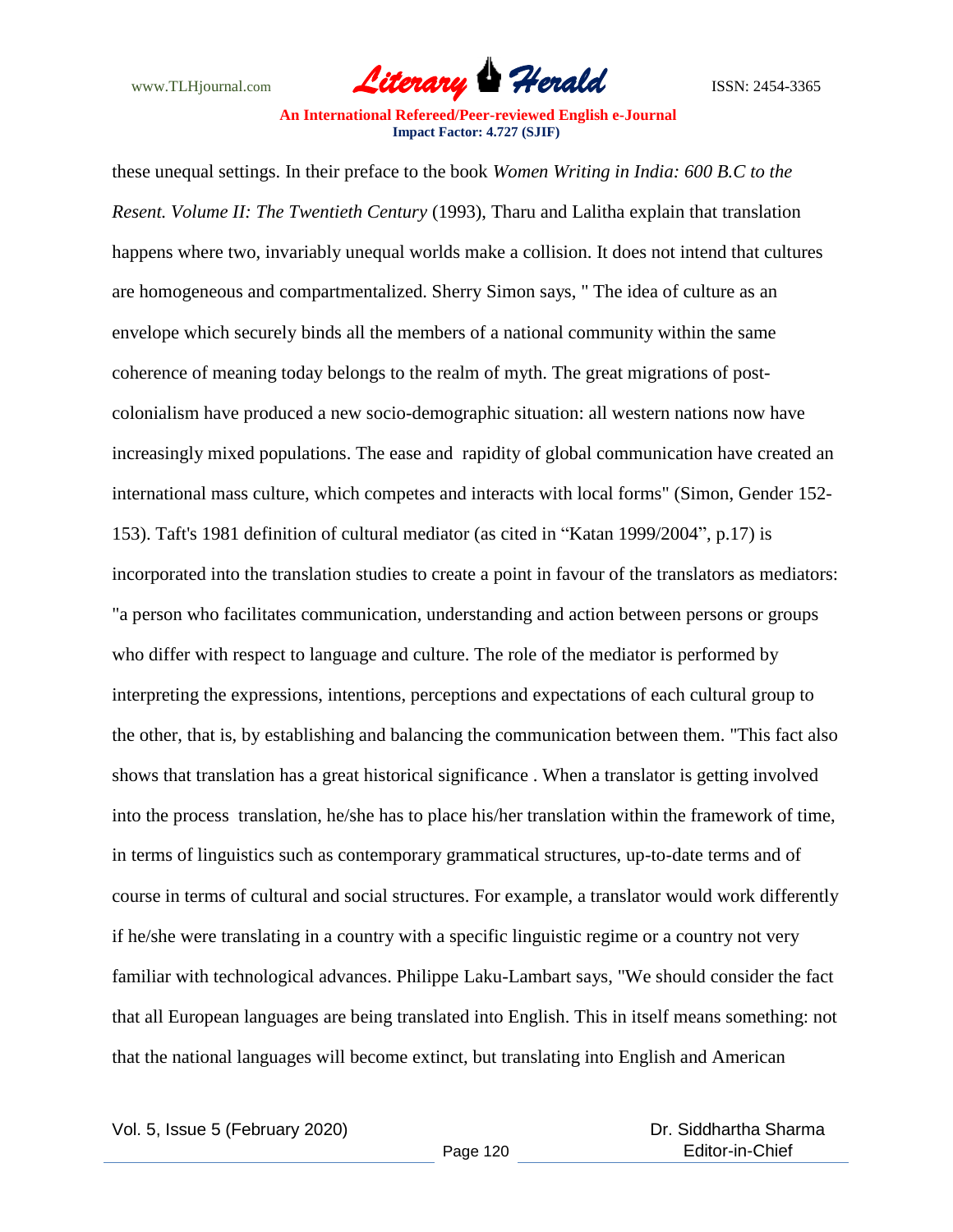

these unequal settings. In their preface to the book *Women Writing in India: 600 B.C to the Resent. Volume II: The Twentieth Century* (1993), Tharu and Lalitha explain that translation happens where two, invariably unequal worlds make a collision. It does not intend that cultures are homogeneous and compartmentalized. Sherry Simon says, " The idea of culture as an envelope which securely binds all the members of a national community within the same coherence of meaning today belongs to the realm of myth. The great migrations of postcolonialism have produced a new socio-demographic situation: all western nations now have increasingly mixed populations. The ease and rapidity of global communication have created an international mass culture, which competes and interacts with local forms" (Simon, Gender 152- 153). Taft's 1981 definition of cultural mediator (as cited in "Katan 1999/2004", p.17) is incorporated into the translation studies to create a point in favour of the translators as mediators: "a person who facilitates communication, understanding and action between persons or groups who differ with respect to language and culture. The role of the mediator is performed by interpreting the expressions, intentions, perceptions and expectations of each cultural group to the other, that is, by establishing and balancing the communication between them. "This fact also shows that translation has a great historical significance . When a translator is getting involved into the process translation, he/she has to place his/her translation within the framework of time, in terms of linguistics such as contemporary grammatical structures, up-to-date terms and of course in terms of cultural and social structures. For example, a translator would work differently if he/she were translating in a country with a specific linguistic regime or a country not very familiar with technological advances. Philippe Laku-Lambart says, "We should consider the fact that all European languages are being translated into English. This in itself means something: not that the national languages will become extinct, but translating into English and American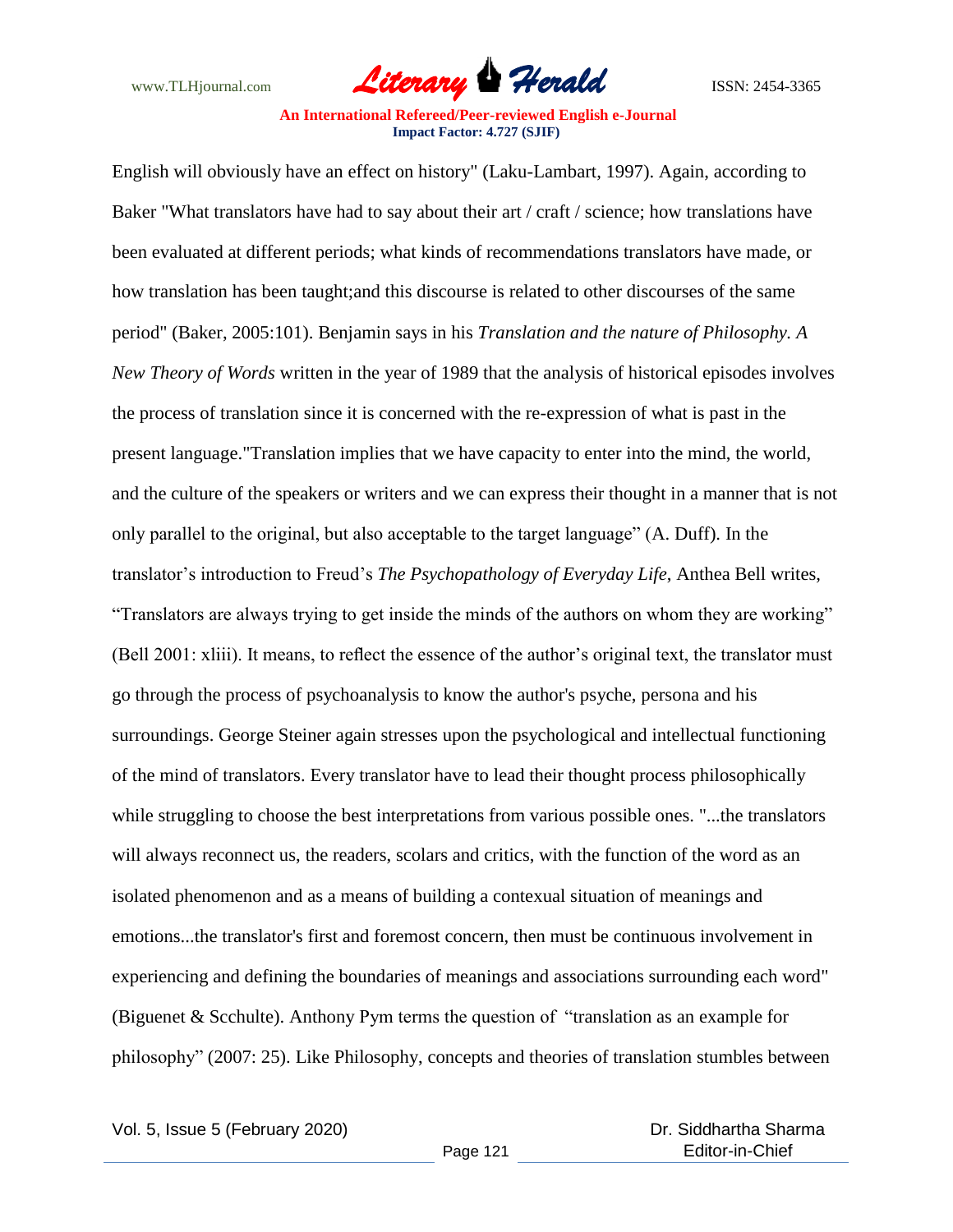

English will obviously have an effect on history" (Laku-Lambart, 1997). Again, according to Baker "What translators have had to say about their art / craft / science; how translations have been evaluated at different periods; what kinds of recommendations translators have made, or how translation has been taught;and this discourse is related to other discourses of the same period" (Baker, 2005:101). Benjamin says in his *Translation and the nature of Philosophy. A New Theory of Words* written in the year of 1989 that the analysis of historical episodes involves the process of translation since it is concerned with the re-expression of what is past in the present language."Translation implies that we have capacity to enter into the mind, the world, and the culture of the speakers or writers and we can express their thought in a manner that is not only parallel to the original, but also acceptable to the target language" (A. Duff). In the translator"s introduction to Freud"s *The Psychopathology of Everyday Life*, Anthea Bell writes, "Translators are always trying to get inside the minds of the authors on whom they are working" (Bell 2001: xliii). It means, to reflect the essence of the author"s original text, the translator must go through the process of psychoanalysis to know the author's psyche, persona and his surroundings. George Steiner again stresses upon the psychological and intellectual functioning of the mind of translators. Every translator have to lead their thought process philosophically while struggling to choose the best interpretations from various possible ones. "...the translators will always reconnect us, the readers, scolars and critics, with the function of the word as an isolated phenomenon and as a means of building a contexual situation of meanings and emotions...the translator's first and foremost concern, then must be continuous involvement in experiencing and defining the boundaries of meanings and associations surrounding each word" (Biguenet & Scchulte). Anthony Pym terms the question of "translation as an example for philosophy" (2007: 25). Like Philosophy, concepts and theories of translation stumbles between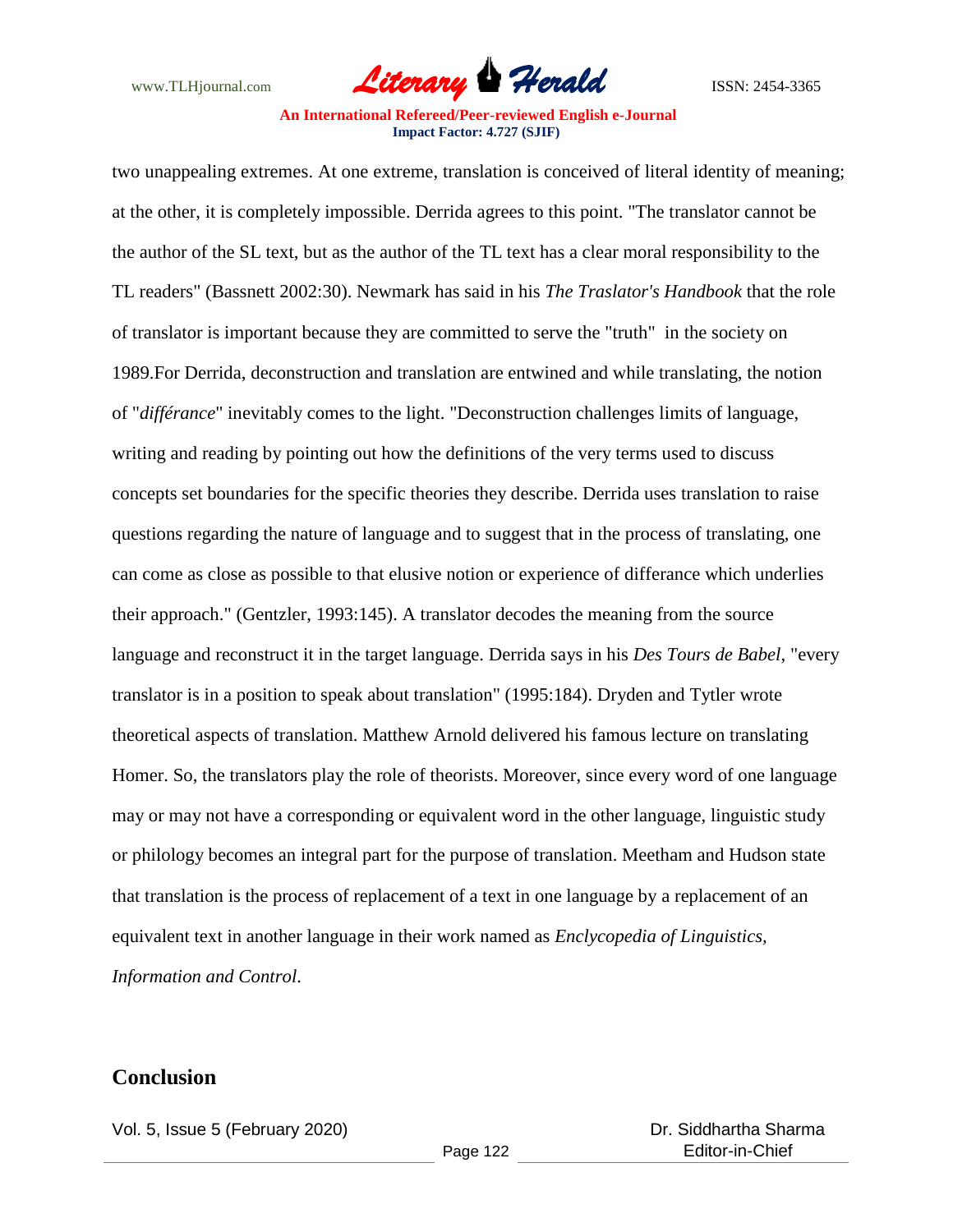

two unappealing extremes. At one extreme, translation is conceived of literal identity of meaning; at the other, it is completely impossible. Derrida agrees to this point. "The translator cannot be the author of the SL text, but as the author of the TL text has a clear moral responsibility to the TL readers" (Bassnett 2002:30). Newmark has said in his *The Traslator's Handbook* that the role of translator is important because they are committed to serve the "truth" in the society on 1989.For Derrida, deconstruction and translation are entwined and while translating, the notion of "*différance*" inevitably comes to the light. "Deconstruction challenges limits of language, writing and reading by pointing out how the definitions of the very terms used to discuss concepts set boundaries for the specific theories they describe. Derrida uses translation to raise questions regarding the nature of language and to suggest that in the process of translating, one can come as close as possible to that elusive notion or experience of differance which underlies their approach." (Gentzler, 1993:145). A translator decodes the meaning from the source language and reconstruct it in the target language. Derrida says in his *Des Tours de Babel*, "every translator is in a position to speak about translation" (1995:184). Dryden and Tytler wrote theoretical aspects of translation. Matthew Arnold delivered his famous lecture on translating Homer. So, the translators play the role of theorists. Moreover, since every word of one language may or may not have a corresponding or equivalent word in the other language, linguistic study or philology becomes an integral part for the purpose of translation. Meetham and Hudson state that translation is the process of replacement of a text in one language by a replacement of an equivalent text in another language in their work named as *Enclycopedia of Linguistics, Information and Control*.

### **Conclusion**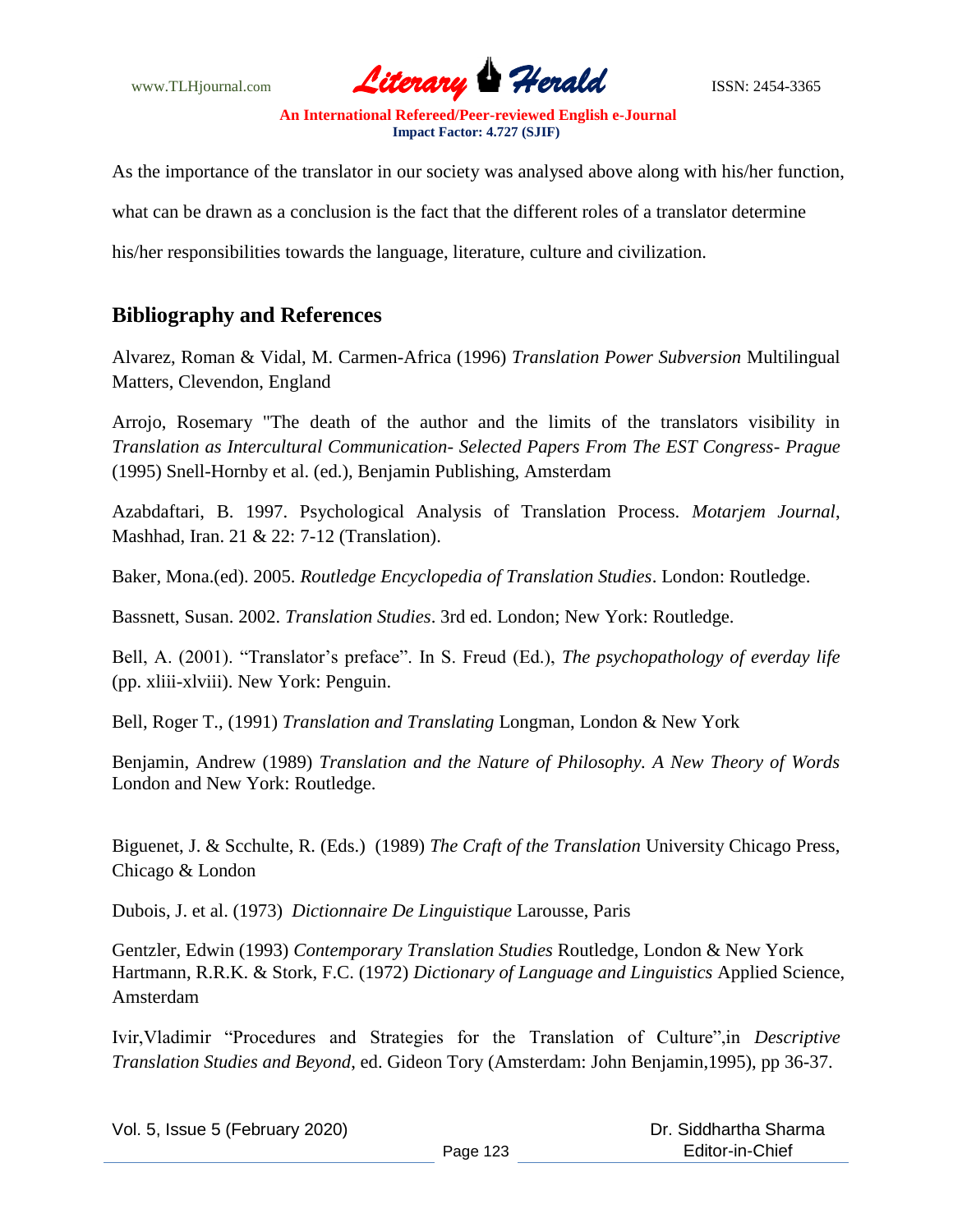

As the importance of the translator in our society was analysed above along with his/her function, what can be drawn as a conclusion is the fact that the different roles of a translator determine

his/her responsibilities towards the language, literature, culture and civilization.

# **Bibliography and References**

Alvarez, Roman & Vidal, M. Carmen-Africa (1996) *Translation Power Subversion* Multilingual Matters, Clevendon, England

Arrojo, Rosemary "The death of the author and the limits of the translators visibility in *Translation as Intercultural Communication- Selected Papers From The EST Congress- Prague* (1995) Snell-Hornby et al. (ed.), Benjamin Publishing, Amsterdam

Azabdaftari, B. 1997. Psychological Analysis of Translation Process. *Motarjem Journal*, Mashhad, Iran. 21 & 22: 7-12 (Translation).

Baker, Mona.(ed). 2005. *Routledge Encyclopedia of Translation Studies*. London: Routledge.

Bassnett, Susan. 2002. *Translation Studies*. 3rd ed. London; New York: Routledge.

Bell, A. (2001). "Translator's preface". In S. Freud (Ed.), *The psychopathology of everday life* (pp. xliii-xlviii). New York: Penguin.

Bell, Roger T., (1991) *Translation and Translating* Longman, London & New York

Benjamin, Andrew (1989) *Translation and the Nature of Philosophy. A New Theory of Words* London and New York: Routledge.

Biguenet, J. & Scchulte, R. (Eds.) (1989) *The Craft of the Translation* University Chicago Press, Chicago & London

Dubois, J. et al. (1973) *Dictionnaire De Linguistique* Larousse, Paris

Gentzler, Edwin (1993) *Contemporary Translation Studies* Routledge, London & New York Hartmann, R.R.K. & Stork, F.C. (1972) *Dictionary of Language and Linguistics* Applied Science, Amsterdam

Ivir,Vladimir "Procedures and Strategies for the Translation of Culture",in *Descriptive Translation Studies and Beyond*, ed. Gideon Tory (Amsterdam: John Benjamin,1995), pp 36-37.

Vol. 5, Issue 5 (February 2020)

Page 123